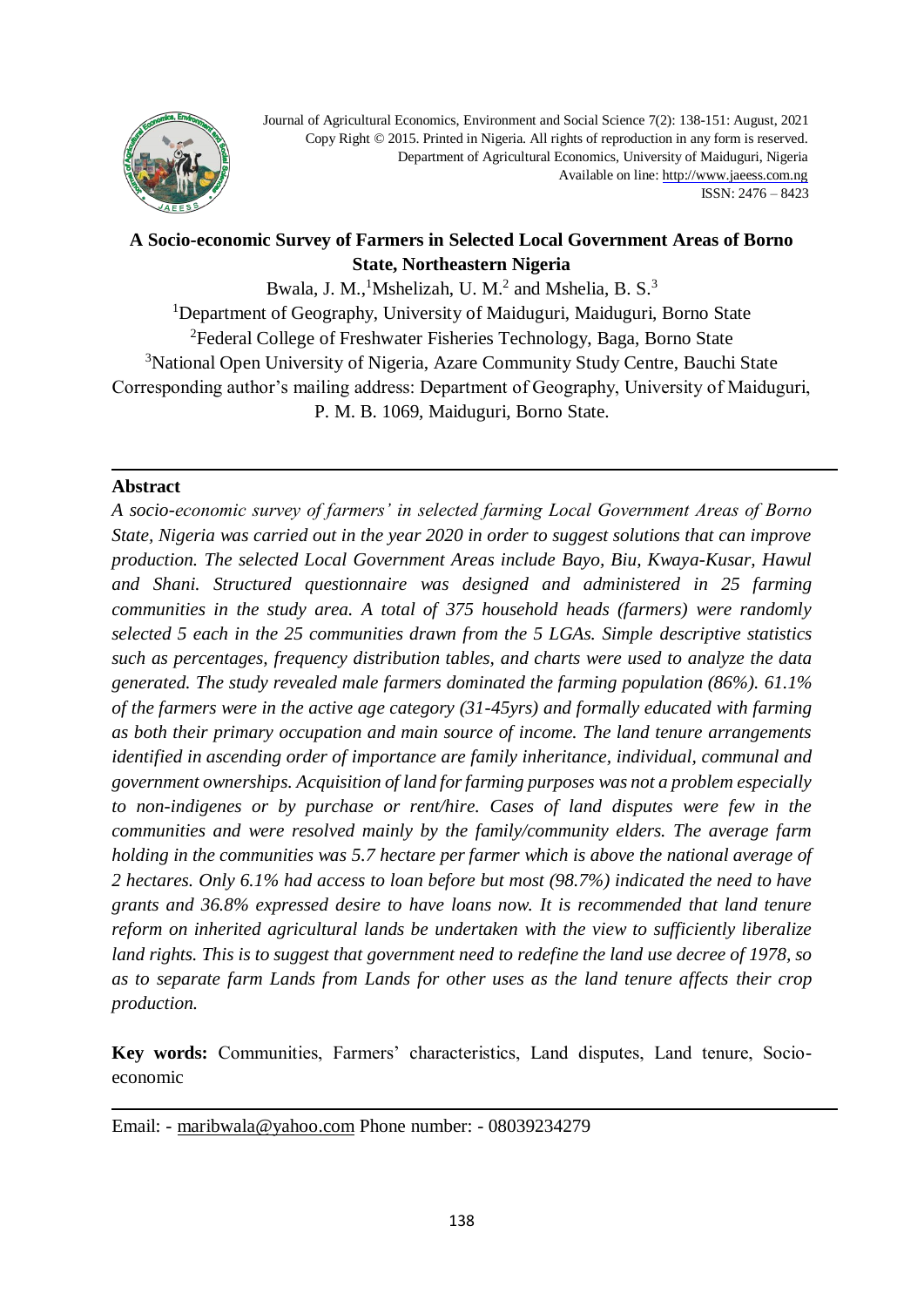

Journal of Agricultural Economics, Environment and Social Science 7(2): 138-151: August, 2021 Copy Right © 2015. Printed in Nigeria. All rights of reproduction in any form is reserved. Department of Agricultural Economics, University of Maiduguri, Nigeria Available on lin[e: http://www.jaeess.com.ng](http://www.jaeess.com.ng/) ISSN: 2476 – 8423

# **A Socio-economic Survey of Farmers in Selected Local Government Areas of Borno State, Northeastern Nigeria**

Bwala, J. M.,<sup>1</sup>Mshelizah, U. M.<sup>2</sup> and Mshelia, B. S.<sup>3</sup> <sup>1</sup>Department of Geography, University of Maiduguri, Maiduguri, Borno State <sup>2</sup>Federal College of Freshwater Fisheries Technology, Baga, Borno State <sup>3</sup>National Open University of Nigeria, Azare Community Study Centre, Bauchi State Corresponding author's mailing address: Department of Geography, University of Maiduguri, P. M. B. 1069, Maiduguri, Borno State.

#### **Abstract**

*A socio-economic survey of farmers' in selected farming Local Government Areas of Borno State, Nigeria was carried out in the year 2020 in order to suggest solutions that can improve production. The selected Local Government Areas include Bayo, Biu, Kwaya-Kusar, Hawul and Shani. Structured questionnaire was designed and administered in 25 farming communities in the study area. A total of 375 household heads (farmers) were randomly selected 5 each in the 25 communities drawn from the 5 LGAs. Simple descriptive statistics such as percentages, frequency distribution tables, and charts were used to analyze the data generated. The study revealed male farmers dominated the farming population (86%). 61.1% of the farmers were in the active age category (31-45yrs) and formally educated with farming as both their primary occupation and main source of income. The land tenure arrangements identified in ascending order of importance are family inheritance, individual, communal and government ownerships. Acquisition of land for farming purposes was not a problem especially to non-indigenes or by purchase or rent/hire. Cases of land disputes were few in the communities and were resolved mainly by the family/community elders. The average farm holding in the communities was 5.7 hectare per farmer which is above the national average of 2 hectares. Only 6.1% had access to loan before but most (98.7%) indicated the need to have grants and 36.8% expressed desire to have loans now. It is recommended that land tenure reform on inherited agricultural lands be undertaken with the view to sufficiently liberalize land rights. This is to suggest that government need to redefine the land use decree of 1978, so as to separate farm Lands from Lands for other uses as the land tenure affects their crop production.*

**Key words:** Communities, Farmers' characteristics, Land disputes, Land tenure, Socioeconomic

Email: - [maribwala@yahoo.com](mailto:maribwala@yahoo.com) Phone number: - 08039234279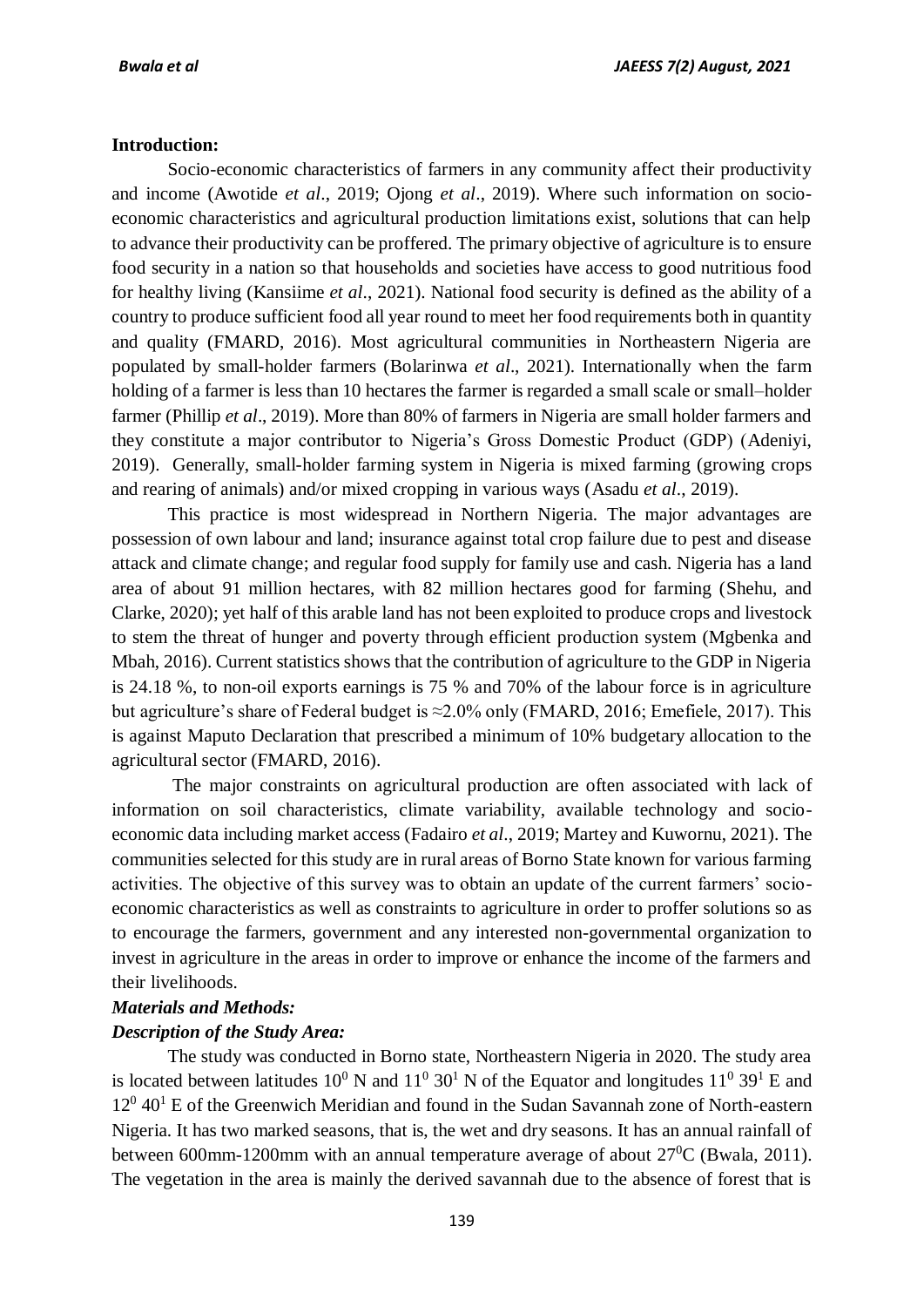#### **Introduction:**

Socio-economic characteristics of farmers in any community affect their productivity and income (Awotide *et al*., 2019; Ojong *et al*., 2019). Where such information on socioeconomic characteristics and agricultural production limitations exist, solutions that can help to advance their productivity can be proffered. The primary objective of agriculture is to ensure food security in a nation so that households and societies have access to good nutritious food for healthy living (Kansiime *et al*., 2021). National food security is defined as the ability of a country to produce sufficient food all year round to meet her food requirements both in quantity and quality (FMARD, 2016). Most agricultural communities in Northeastern Nigeria are populated by small-holder farmers (Bolarinwa *et al*., 2021). Internationally when the farm holding of a farmer is less than 10 hectares the farmer is regarded a small scale or small–holder farmer (Phillip *et al*., 2019). More than 80% of farmers in Nigeria are small holder farmers and they constitute a major contributor to Nigeria's Gross Domestic Product (GDP) (Adeniyi, 2019). Generally, small-holder farming system in Nigeria is mixed farming (growing crops and rearing of animals) and/or mixed cropping in various ways (Asadu *et al*., 2019).

This practice is most widespread in Northern Nigeria. The major advantages are possession of own labour and land; insurance against total crop failure due to pest and disease attack and climate change; and regular food supply for family use and cash. Nigeria has a land area of about 91 million hectares, with 82 million hectares good for farming (Shehu, and Clarke, 2020); yet half of this arable land has not been exploited to produce crops and livestock to stem the threat of hunger and poverty through efficient production system (Mgbenka and Mbah, 2016). Current statistics shows that the contribution of agriculture to the GDP in Nigeria is 24.18 %, to non-oil exports earnings is 75 % and 70% of the labour force is in agriculture but agriculture's share of Federal budget is ≈2.0% only (FMARD, 2016; Emefiele, 2017). This is against Maputo Declaration that prescribed a minimum of 10% budgetary allocation to the agricultural sector (FMARD, 2016).

The major constraints on agricultural production are often associated with lack of information on soil characteristics, climate variability, available technology and socioeconomic data including market access (Fadairo *et al*., 2019; Martey and Kuwornu, 2021). The communities selected for this study are in rural areas of Borno State known for various farming activities. The objective of this survey was to obtain an update of the current farmers' socioeconomic characteristics as well as constraints to agriculture in order to proffer solutions so as to encourage the farmers, government and any interested non-governmental organization to invest in agriculture in the areas in order to improve or enhance the income of the farmers and their livelihoods.

#### *Materials and Methods:*

#### *Description of the Study Area:*

The study was conducted in Borno state, Northeastern Nigeria in 2020. The study area is located between latitudes  $10^0$  N and  $11^0$  30<sup>1</sup> N of the Equator and longitudes  $11^0$  39<sup>1</sup> E and 12<sup>0</sup> 40<sup>1</sup> E of the Greenwich Meridian and found in the Sudan Savannah zone of North-eastern Nigeria. It has two marked seasons, that is, the wet and dry seasons. It has an annual rainfall of between 600mm-1200mm with an annual temperature average of about  $27^0C$  (Bwala, 2011). The vegetation in the area is mainly the derived savannah due to the absence of forest that is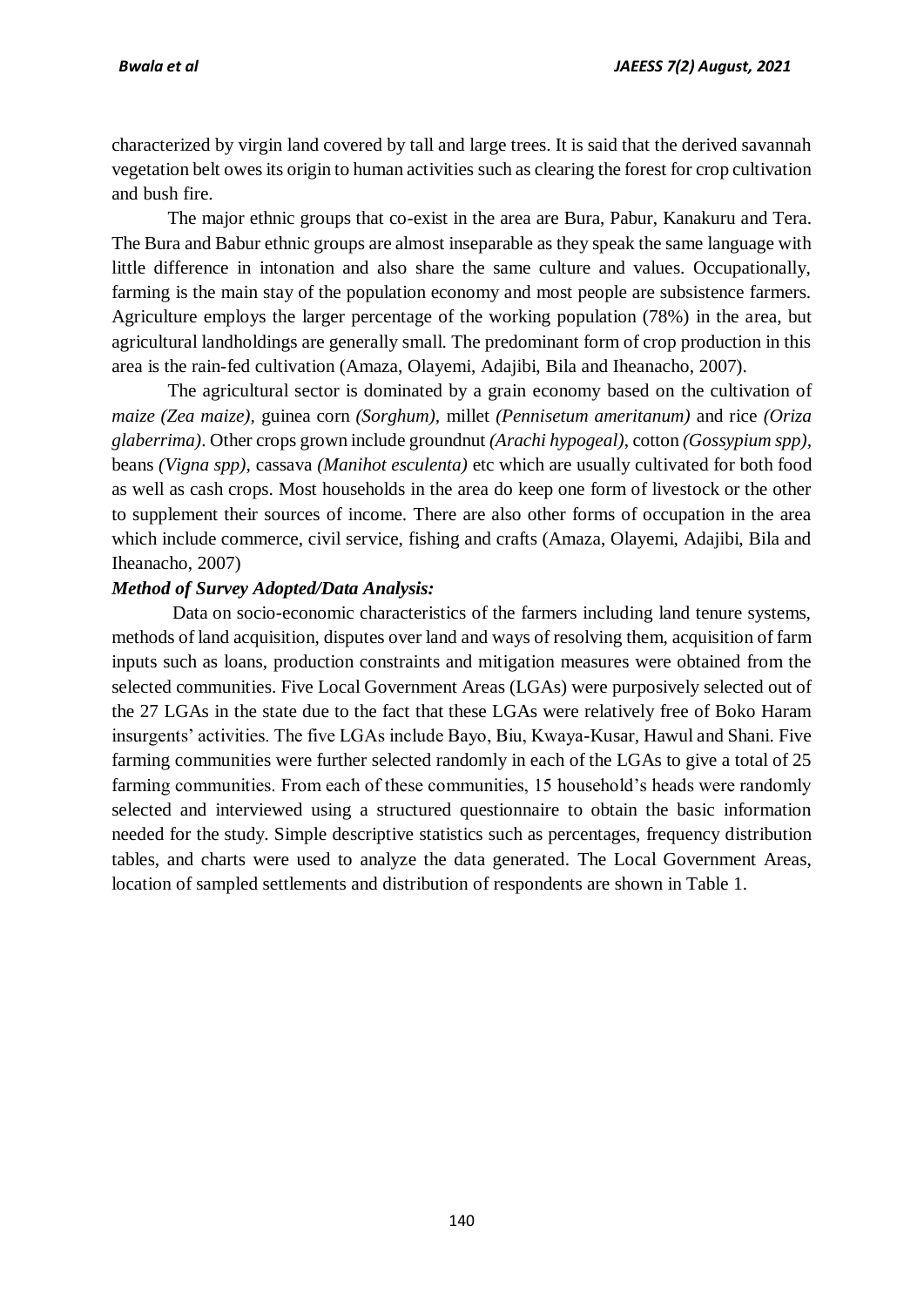characterized by virgin land covered by tall and large trees. It is said that the derived savannah vegetation belt owes its origin to human activities such as clearing the forest for crop cultivation and bush fire.

The major ethnic groups that co-exist in the area are Bura, Pabur, Kanakuru and Tera. The Bura and Babur ethnic groups are almost inseparable as they speak the same language with little difference in intonation and also share the same culture and values. Occupationally, farming is the main stay of the population economy and most people are subsistence farmers. Agriculture employs the larger percentage of the working population (78%) in the area, but agricultural landholdings are generally small. The predominant form of crop production in this area is the rain-fed cultivation (Amaza, Olayemi, Adajibi, Bila and Iheanacho, 2007).

The agricultural sector is dominated by a grain economy based on the cultivation of *maize (Zea maize),* guinea corn *(Sorghum),* millet *(Pennisetum ameritanum)* and rice *(Oriza glaberrima)*. Other crops grown include groundnut *(Arachi hypogeal)*, cotton *(Gossypium spp),* beans *(Vigna spp),* cassava *(Manihot esculenta)* etc which are usually cultivated for both food as well as cash crops. Most households in the area do keep one form of livestock or the other to supplement their sources of income. There are also other forms of occupation in the area which include commerce, civil service, fishing and crafts (Amaza, Olayemi, Adajibi, Bila and Iheanacho, 2007)

### *Method of Survey Adopted/Data Analysis:*

Data on socio-economic characteristics of the farmers including land tenure systems, methods of land acquisition, disputes over land and ways of resolving them, acquisition of farm inputs such as loans, production constraints and mitigation measures were obtained from the selected communities. Five Local Government Areas (LGAs) were purposively selected out of the 27 LGAs in the state due to the fact that these LGAs were relatively free of Boko Haram insurgents' activities. The five LGAs include Bayo, Biu, Kwaya-Kusar, Hawul and Shani. Five farming communities were further selected randomly in each of the LGAs to give a total of 25 farming communities. From each of these communities, 15 household's heads were randomly selected and interviewed using a structured questionnaire to obtain the basic information needed for the study. Simple descriptive statistics such as percentages, frequency distribution tables, and charts were used to analyze the data generated*.* The Local Government Areas, location of sampled settlements and distribution of respondents are shown in Table 1.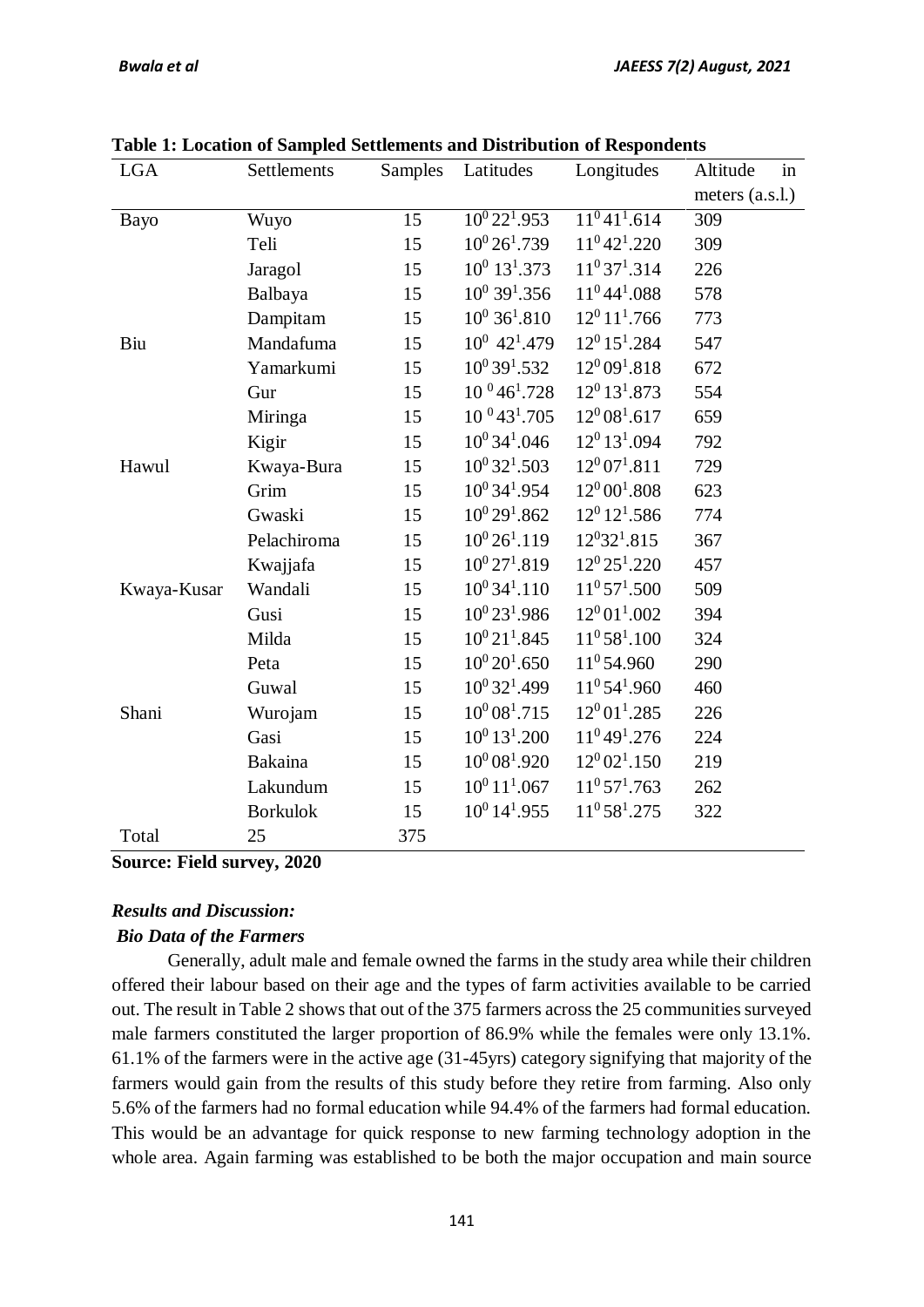| <b>LGA</b>  | Settlements     | Samples | Latitudes                     | Longitudes                  | Altitude<br>in    |
|-------------|-----------------|---------|-------------------------------|-----------------------------|-------------------|
|             |                 |         |                               |                             | meters $(a.s.l.)$ |
| Bayo        | Wuyo            | 15      | $\overline{10^0 22^1 953}$    | $11^041^1.614$              | 309               |
|             | Teli            | 15      | $10^{0}$ 26 <sup>1</sup> .739 | $11^042^1.220$              | 309               |
|             | Jaragol         | 15      | $10^0$ 13 <sup>1</sup> .373   | $11^037^1.314$              | 226               |
|             | Balbaya         | 15      | $10^0$ 39 <sup>1</sup> .356   | $11^0$ 44 <sup>1</sup> .088 | 578               |
|             | Dampitam        | 15      | $10^0$ 36 <sup>1</sup> .810   | $12^0 11^1.766$             | 773               |
| Biu         | Mandafuma       | 15      | $10^0$ 42 <sup>1</sup> .479   | $12^0$ 15 <sup>1</sup> .284 | 547               |
|             | Yamarkumi       | 15      | $10^0$ 39 <sup>1</sup> .532   | $12^{0}09^{1}.818$          | 672               |
|             | Gur             | 15      | $10^{0}$ 46 <sup>1</sup> .728 | $12^0$ 13 <sup>1</sup> .873 | 554               |
|             | Miringa         | 15      | $10^{0}43^{1}.705$            | $12^0 08^1.617$             | 659               |
|             | Kigir           | 15      | $10^0$ 34 <sup>1</sup> .046   | $12^0$ 13 <sup>1</sup> .094 | 792               |
| Hawul       | Kwaya-Bura      | 15      | $10^0$ 32 <sup>1</sup> .503   | $12^0 07^1.811$             | 729               |
|             | Grim            | 15      | $10^0$ 34 <sup>1</sup> .954   | $12^0 00^1.808$             | 623               |
|             | Gwaski          | 15      | $10^0 29^1.862$               | $12^0$ $12^1.586$           | 774               |
|             | Pelachiroma     | 15      | $10^{0}$ 26 <sup>1</sup> .119 | $12^{0}32^{1}.815$          | 367               |
|             | Kwajjafa        | 15      | $10^{0}$ 27 <sup>1</sup> .819 | $12^0 25^1 220$             | 457               |
| Kwaya-Kusar | Wandali         | 15      | $10^0$ 34 <sup>1</sup> .110   | $11^0 57^1.500$             | 509               |
|             | Gusi            | 15      | $10^0$ 23 <sup>1</sup> .986   | $12^0 01^1.002$             | 394               |
|             | Milda           | 15      | $10^{0}$ 21 <sup>1</sup> .845 | $11^0 58^1 00$              | 324               |
|             | Peta            | 15      | $10^0 20^1.650$               | 11 <sup>0</sup> 54.960      | 290               |
|             | Guwal           | 15      | $10^0$ 32 <sup>1</sup> .499   | $11^0 54^1.960$             | 460               |
| Shani       | Wurojam         | 15      | $10^{0} 08^{1} .715$          | $12^0 01^1.285$             | 226               |
|             | Gasi            | 15      | $10^0$ 13 <sup>1</sup> .200   | $11^049^1.276$              | 224               |
|             | Bakaina         | 15      | $10^{0} 08^{1} .920$          | $12^0 02^1 0150$            | 219               |
|             | Lakundum        | 15      | $10^0 11^1.067$               | $11^0 57^1.763$             | 262               |
|             | <b>Borkulok</b> | 15      | $10^0$ 14 <sup>1</sup> .955   | $11^0$ 58 <sup>1</sup> .275 | 322               |
| Total       | 25              | 375     |                               |                             |                   |

**Table 1: Location of Sampled Settlements and Distribution of Respondents**

**Source: Field survey, 2020**

### *Results and Discussion:*

### *Bio Data of the Farmers*

Generally, adult male and female owned the farms in the study area while their children offered their labour based on their age and the types of farm activities available to be carried out. The result in Table 2 shows that out of the 375 farmers across the 25 communities surveyed male farmers constituted the larger proportion of 86.9% while the females were only 13.1%. 61.1% of the farmers were in the active age (31-45yrs) category signifying that majority of the farmers would gain from the results of this study before they retire from farming. Also only 5.6% of the farmers had no formal education while 94.4% of the farmers had formal education. This would be an advantage for quick response to new farming technology adoption in the whole area. Again farming was established to be both the major occupation and main source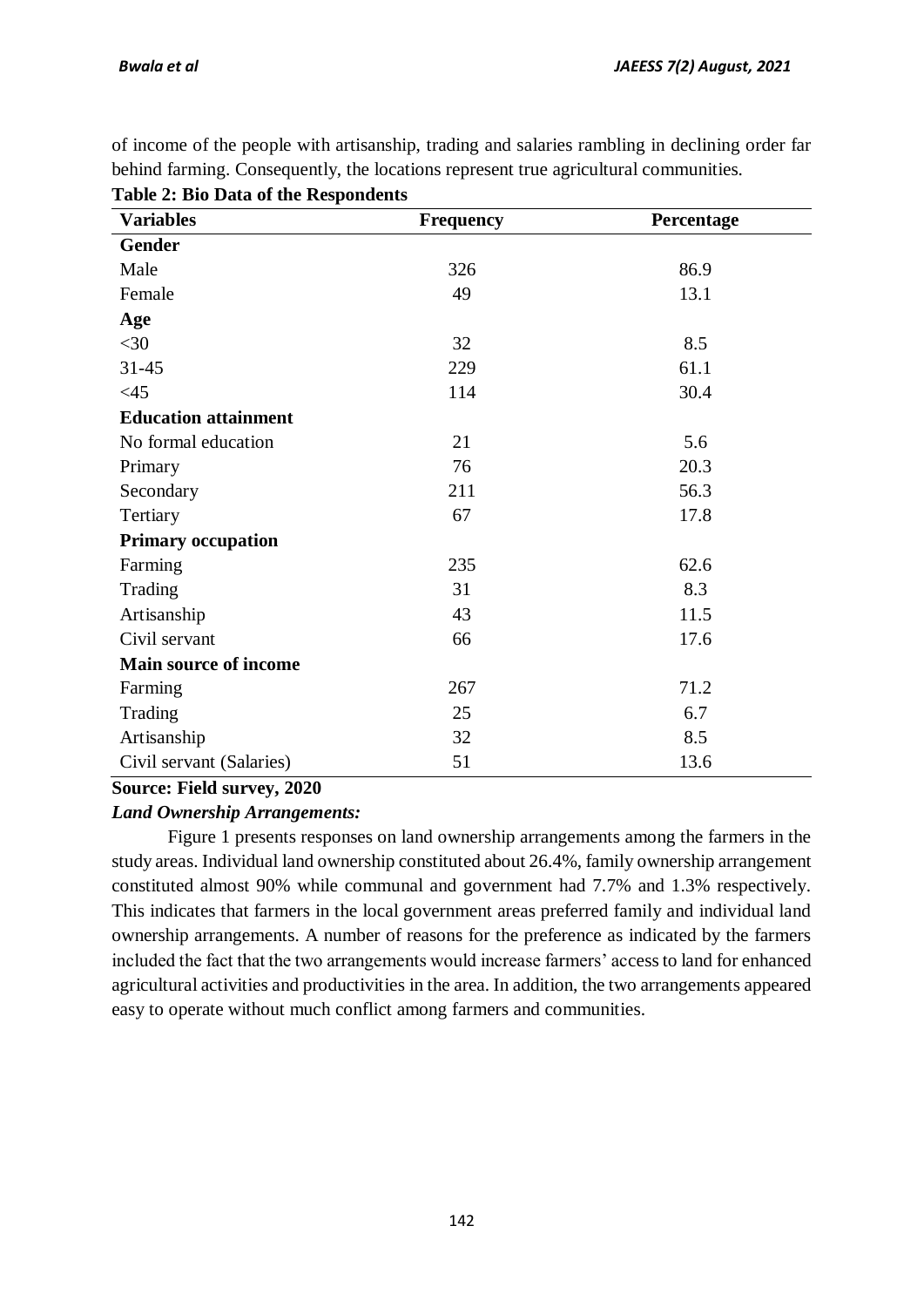of income of the people with artisanship, trading and salaries rambling in declining order far behind farming. Consequently, the locations represent true agricultural communities.

| <b>Variables</b>             | <b>Frequency</b> | Percentage |
|------------------------------|------------------|------------|
| <b>Gender</b>                |                  |            |
| Male                         | 326              | 86.9       |
| Female                       | 49               | 13.1       |
| Age                          |                  |            |
| $<$ 30                       | 32               | 8.5        |
| $31 - 45$                    | 229              | 61.1       |
| <45                          | 114              | 30.4       |
| <b>Education attainment</b>  |                  |            |
| No formal education          | 21               | 5.6        |
| Primary                      | 76               | 20.3       |
| Secondary                    | 211              | 56.3       |
| Tertiary                     | 67               | 17.8       |
| <b>Primary occupation</b>    |                  |            |
| Farming                      | 235              | 62.6       |
| Trading                      | 31               | 8.3        |
| Artisanship                  | 43               | 11.5       |
| Civil servant                | 66               | 17.6       |
| <b>Main source of income</b> |                  |            |
| Farming                      | 267              | 71.2       |
| Trading                      | 25               | 6.7        |
| Artisanship                  | 32               | 8.5        |
| Civil servant (Salaries)     | 51               | 13.6       |

**Table 2: Bio Data of the Respondents**

# **Source: Field survey, 2020**

# *Land Ownership Arrangements:*

Figure 1 presents responses on land ownership arrangements among the farmers in the study areas. Individual land ownership constituted about 26.4%, family ownership arrangement constituted almost 90% while communal and government had 7.7% and 1.3% respectively. This indicates that farmers in the local government areas preferred family and individual land ownership arrangements. A number of reasons for the preference as indicated by the farmers included the fact that the two arrangements would increase farmers' access to land for enhanced agricultural activities and productivities in the area. In addition, the two arrangements appeared easy to operate without much conflict among farmers and communities.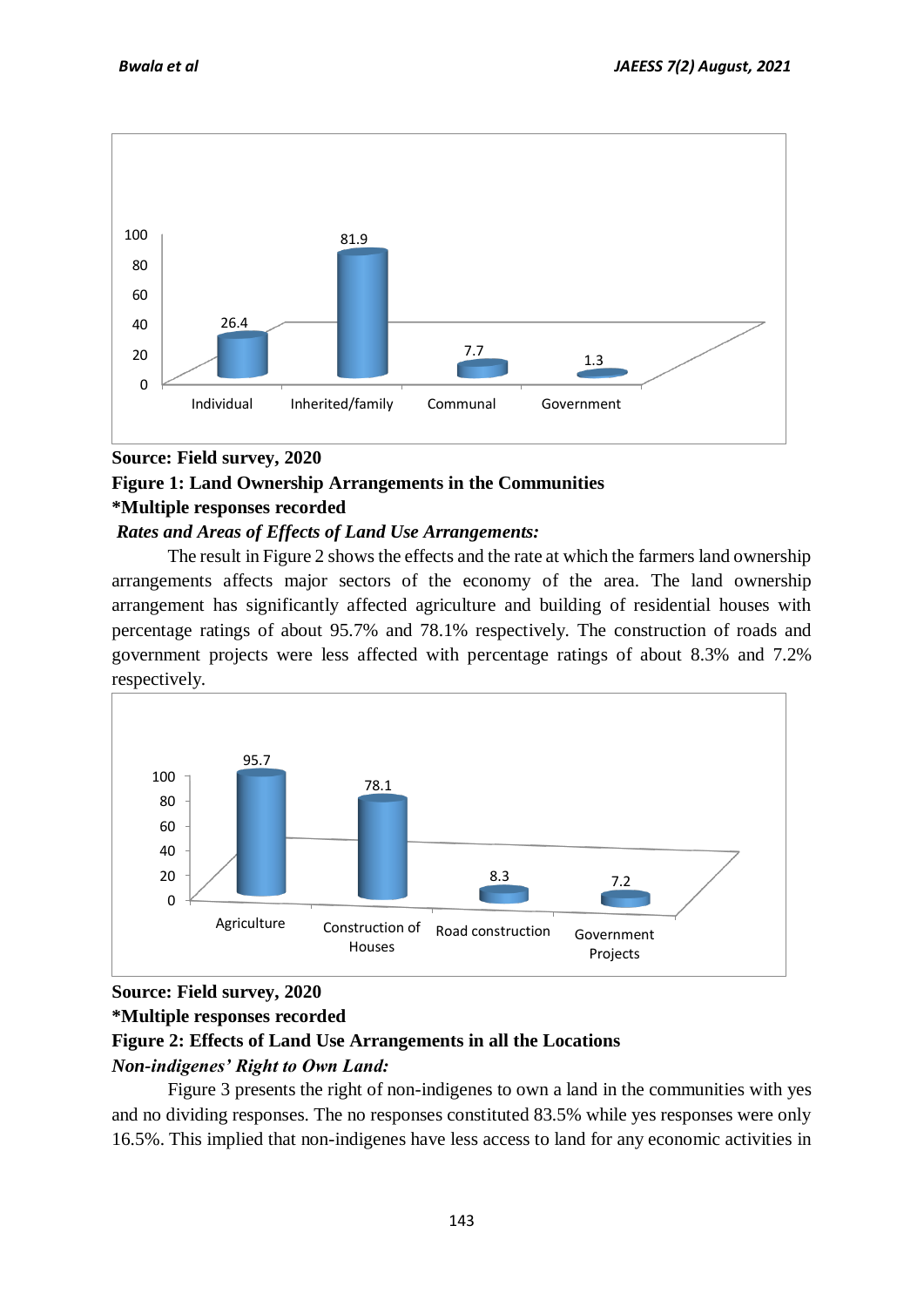

# **Source: Field survey, 2020**

# **Figure 1: Land Ownership Arrangements in the Communities**

### **\*Multiple responses recorded**

### *Rates and Areas of Effects of Land Use Arrangements:*

The result in Figure 2 shows the effects and the rate at which the farmers land ownership arrangements affects major sectors of the economy of the area. The land ownership arrangement has significantly affected agriculture and building of residential houses with percentage ratings of about 95.7% and 78.1% respectively. The construction of roads and government projects were less affected with percentage ratings of about 8.3% and 7.2% respectively.



# **Source: Field survey, 2020**

### **\*Multiple responses recorded**

# **Figure 2: Effects of Land Use Arrangements in all the Locations**

# *Non-indigenes' Right to Own Land:*

Figure 3 presents the right of non-indigenes to own a land in the communities with yes and no dividing responses. The no responses constituted 83.5% while yes responses were only 16.5%. This implied that non-indigenes have less access to land for any economic activities in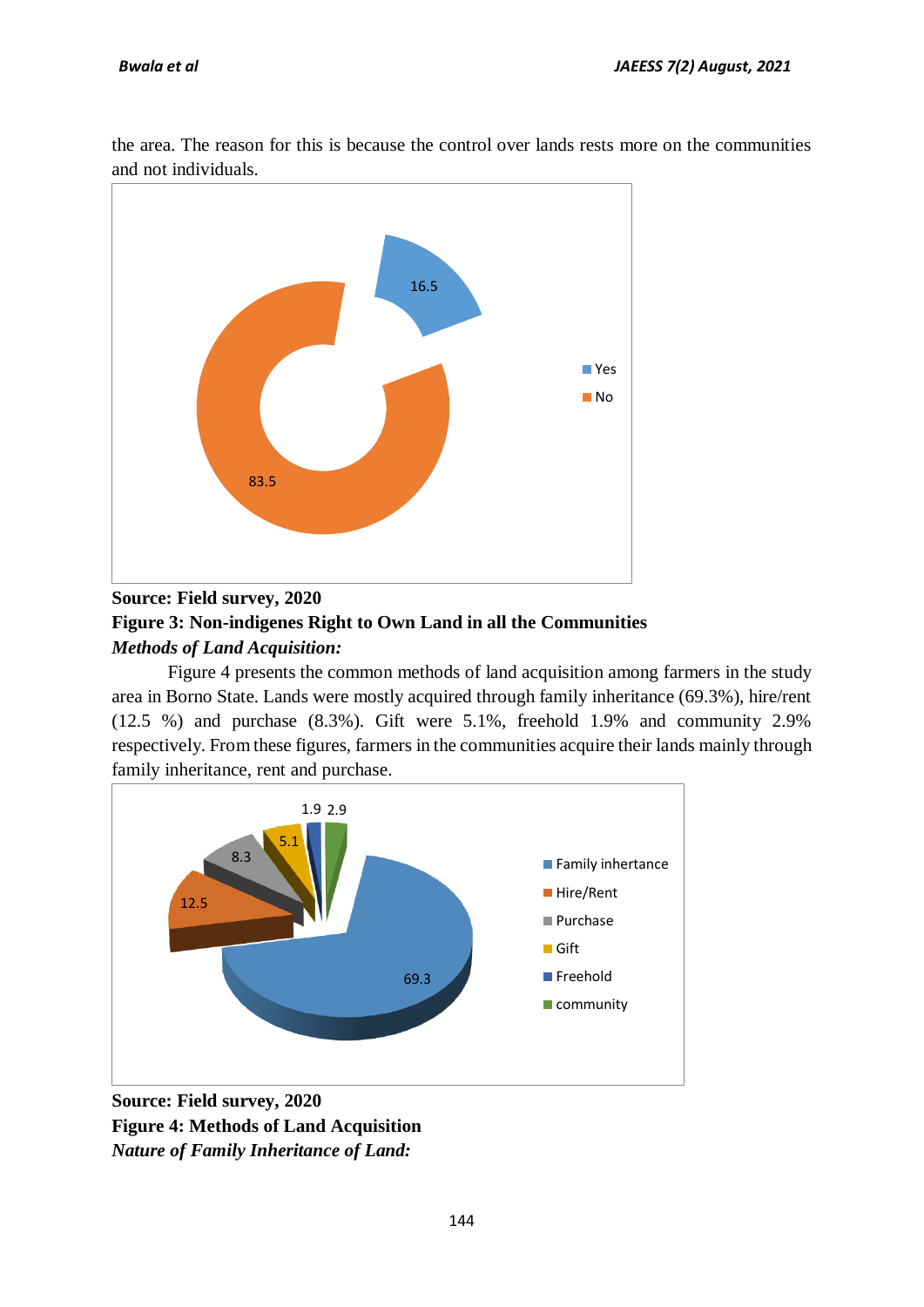the area. The reason for this is because the control over lands rests more on the communities and not individuals.



# **Source: Field survey, 2020 Figure 3: Non-indigenes Right to Own Land in all the Communities** *Methods of Land Acquisition:*

Figure 4 presents the common methods of land acquisition among farmers in the study area in Borno State. Lands were mostly acquired through family inheritance (69.3%), hire/rent (12.5 %) and purchase (8.3%). Gift were 5.1%, freehold 1.9% and community 2.9% respectively. From these figures, farmers in the communities acquire their lands mainly through family inheritance, rent and purchase.



**Source: Field survey, 2020 Figure 4: Methods of Land Acquisition**  *Nature of Family Inheritance of Land:*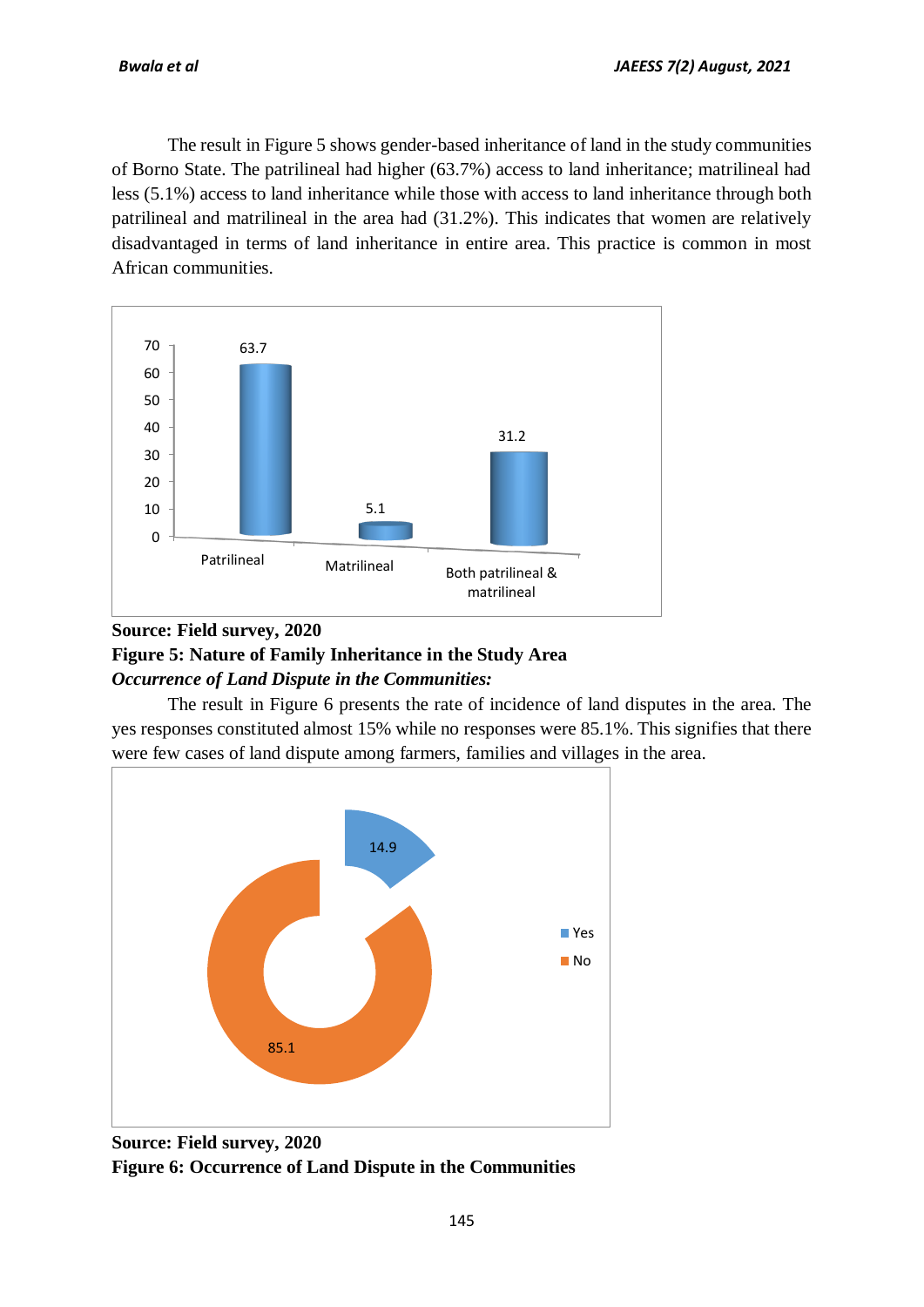The result in Figure 5 shows gender-based inheritance of land in the study communities of Borno State. The patrilineal had higher (63.7%) access to land inheritance; matrilineal had less (5.1%) access to land inheritance while those with access to land inheritance through both patrilineal and matrilineal in the area had (31.2%). This indicates that women are relatively disadvantaged in terms of land inheritance in entire area. This practice is common in most African communities.



# **Source: Field survey, 2020 Figure 5: Nature of Family Inheritance in the Study Area** *Occurrence of Land Dispute in the Communities:*

The result in Figure 6 presents the rate of incidence of land disputes in the area. The yes responses constituted almost 15% while no responses were 85.1%. This signifies that there were few cases of land dispute among farmers, families and villages in the area.



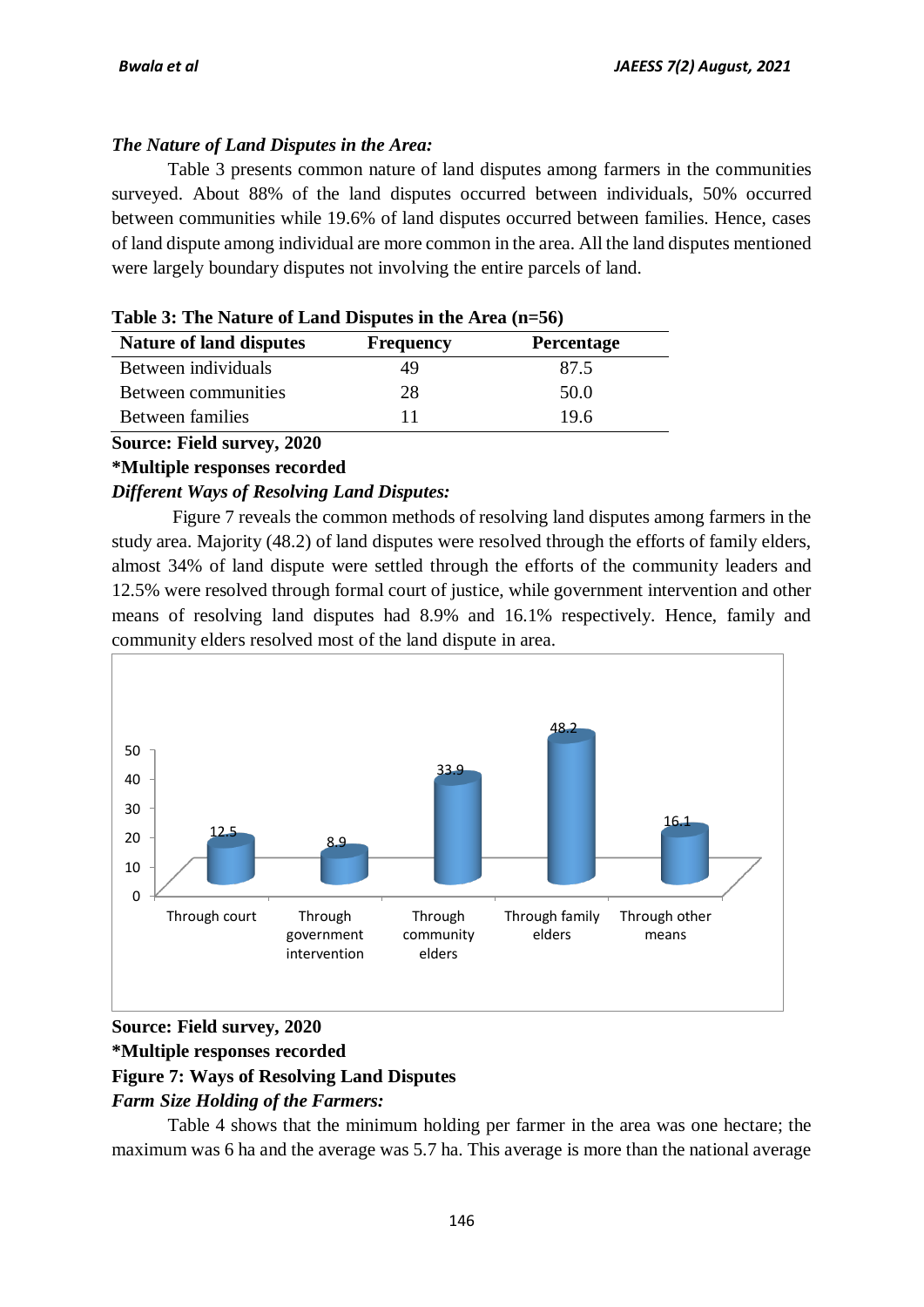# *The Nature of Land Disputes in the Area:*

Table 3 presents common nature of land disputes among farmers in the communities surveyed. About 88% of the land disputes occurred between individuals, 50% occurred between communities while 19.6% of land disputes occurred between families. Hence, cases of land dispute among individual are more common in the area. All the land disputes mentioned were largely boundary disputes not involving the entire parcels of land.

| Table 5. The Nature of Land Disputes in the Area (n–50)<br><b>Nature of land disputes</b><br><b>Percentage</b><br><b>Frequency</b> |    |      |  |  |
|------------------------------------------------------------------------------------------------------------------------------------|----|------|--|--|
|                                                                                                                                    |    |      |  |  |
| Between individuals                                                                                                                | 49 | 87.5 |  |  |
| Between communities                                                                                                                | 28 | 50.0 |  |  |
| Between families                                                                                                                   |    | 19.6 |  |  |

| Table 3: The Nature of Land Disputes in the Area (n=56) |  |  |
|---------------------------------------------------------|--|--|
|                                                         |  |  |

# **Source: Field survey, 2020**

# **\*Multiple responses recorded**

# *Different Ways of Resolving Land Disputes:*

Figure 7 reveals the common methods of resolving land disputes among farmers in the study area. Majority (48.2) of land disputes were resolved through the efforts of family elders, almost 34% of land dispute were settled through the efforts of the community leaders and 12.5% were resolved through formal court of justice, while government intervention and other means of resolving land disputes had 8.9% and 16.1% respectively. Hence, family and community elders resolved most of the land dispute in area.



# **Source: Field survey, 2020**

# **\*Multiple responses recorded**

# **Figure 7: Ways of Resolving Land Disputes**

# *Farm Size Holding of the Farmers:*

Table 4 shows that the minimum holding per farmer in the area was one hectare; the maximum was 6 ha and the average was 5.7 ha. This average is more than the national average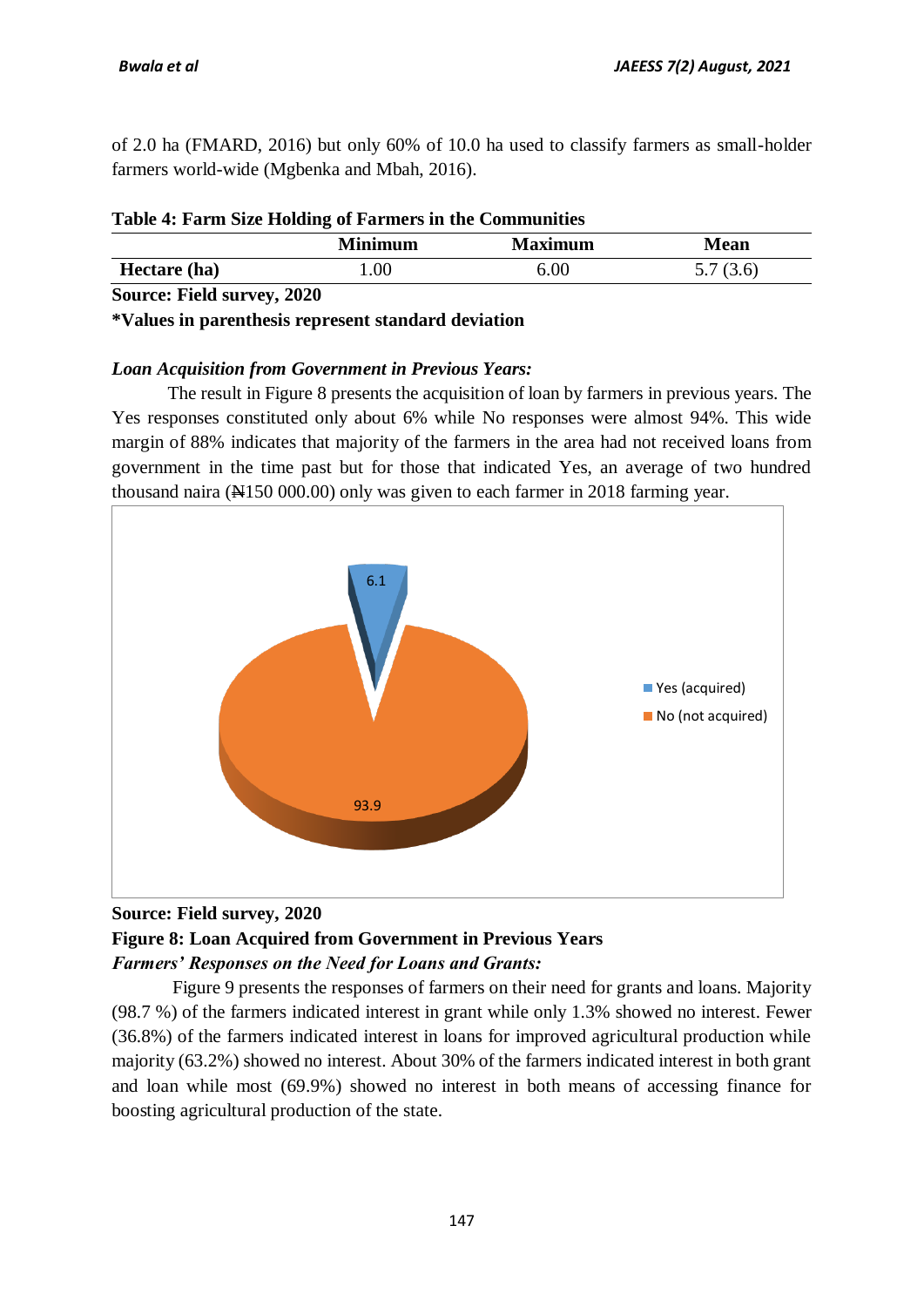of 2.0 ha (FMARD, 2016) but only 60% of 10.0 ha used to classify farmers as small-holder farmers world-wide (Mgbenka and Mbah, 2016).

|                         | <b>Minimum</b> | <b>Maximum</b> | <b>Mean</b> |
|-------------------------|----------------|----------------|-------------|
| Hectare (ha)            | $00$ .         | $6.00\,$       | 5.7(3.6)    |
| Course Eald murrer 2020 |                |                |             |

# **Source: Field survey, 2020**

#### **\*Values in parenthesis represent standard deviation**

# *Loan Acquisition from Government in Previous Years:*

The result in Figure 8 presents the acquisition of loan by farmers in previous years. The Yes responses constituted only about 6% while No responses were almost 94%. This wide margin of 88% indicates that majority of the farmers in the area had not received loans from government in the time past but for those that indicated Yes, an average of two hundred thousand naira (N150 000.00) only was given to each farmer in 2018 farming year.





# **Figure 8: Loan Acquired from Government in Previous Years** *Farmers' Responses on the Need for Loans and Grants:*

Figure 9 presents the responses of farmers on their need for grants and loans. Majority (98.7 %) of the farmers indicated interest in grant while only 1.3% showed no interest. Fewer (36.8%) of the farmers indicated interest in loans for improved agricultural production while majority (63.2%) showed no interest. About 30% of the farmers indicated interest in both grant and loan while most (69.9%) showed no interest in both means of accessing finance for boosting agricultural production of the state.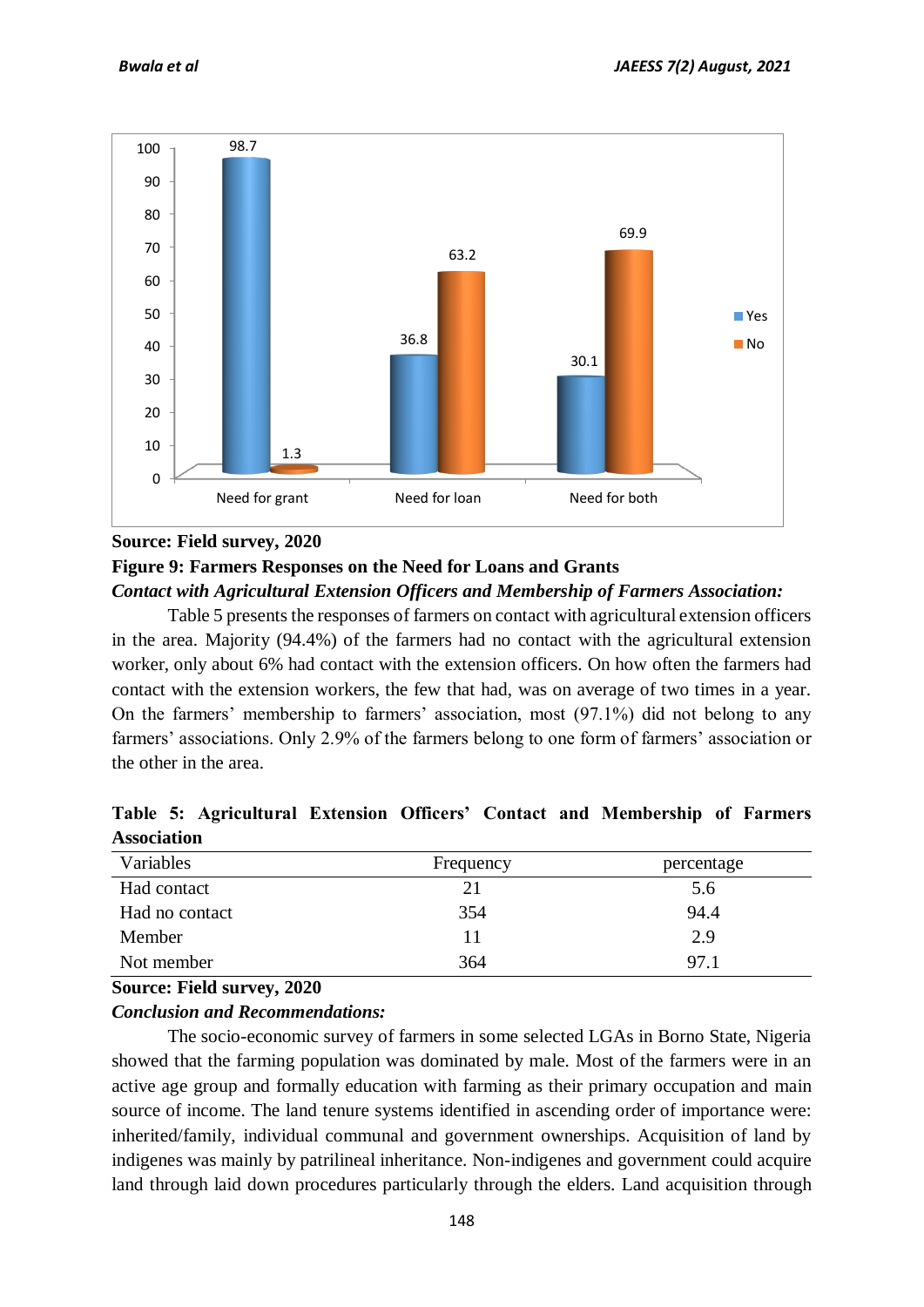

#### **Source: Field survey, 2020**

# **Figure 9: Farmers Responses on the Need for Loans and Grants** *Contact with Agricultural Extension Officers and Membership of Farmers Association:*

Table 5 presents the responses of farmers on contact with agricultural extension officers in the area. Majority (94.4%) of the farmers had no contact with the agricultural extension worker, only about 6% had contact with the extension officers. On how often the farmers had contact with the extension workers, the few that had, was on average of two times in a year. On the farmers' membership to farmers' association, most (97.1%) did not belong to any farmers' associations. Only 2.9% of the farmers belong to one form of farmers' association or the other in the area.

| Variables      | Frequency | percentage |  |
|----------------|-----------|------------|--|
| Had contact    | 21        | 5.6        |  |
| Had no contact | 354       | 94.4       |  |
| Member         | 11        | 2.9        |  |
| Not member     | 364       | 97.1       |  |

**Table 5: Agricultural Extension Officers' Contact and Membership of Farmers Association**

#### **Source: Field survey, 2020**

#### *Conclusion and Recommendations:*

The socio-economic survey of farmers in some selected LGAs in Borno State, Nigeria showed that the farming population was dominated by male. Most of the farmers were in an active age group and formally education with farming as their primary occupation and main source of income. The land tenure systems identified in ascending order of importance were: inherited/family, individual communal and government ownerships. Acquisition of land by indigenes was mainly by patrilineal inheritance. Non-indigenes and government could acquire land through laid down procedures particularly through the elders. Land acquisition through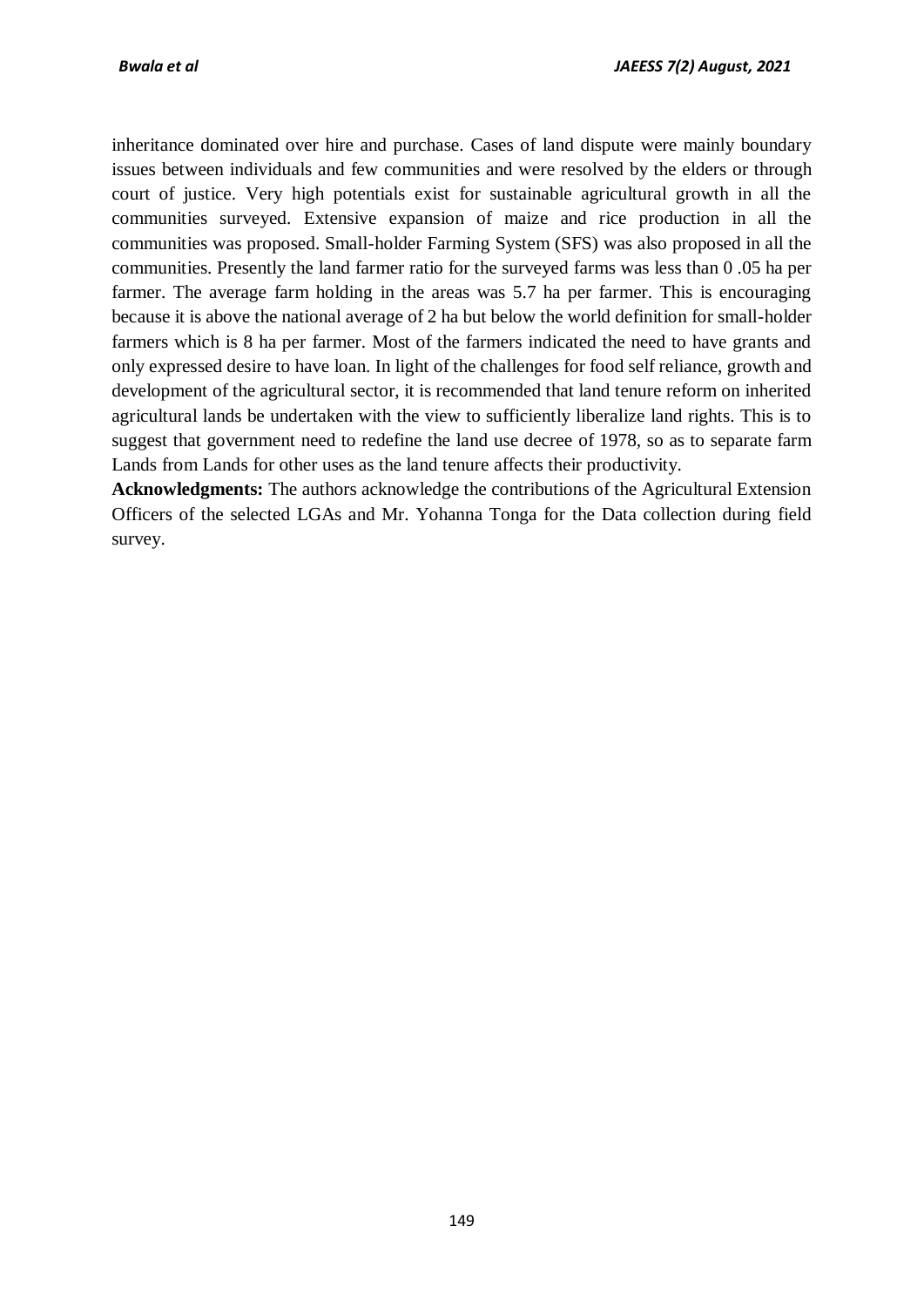inheritance dominated over hire and purchase. Cases of land dispute were mainly boundary issues between individuals and few communities and were resolved by the elders or through court of justice. Very high potentials exist for sustainable agricultural growth in all the communities surveyed. Extensive expansion of maize and rice production in all the communities was proposed. Small-holder Farming System (SFS) was also proposed in all the communities. Presently the land farmer ratio for the surveyed farms was less than 0 .05 ha per farmer. The average farm holding in the areas was 5.7 ha per farmer. This is encouraging because it is above the national average of 2 ha but below the world definition for small-holder farmers which is 8 ha per farmer. Most of the farmers indicated the need to have grants and only expressed desire to have loan. In light of the challenges for food self reliance, growth and development of the agricultural sector, it is recommended that land tenure reform on inherited agricultural lands be undertaken with the view to sufficiently liberalize land rights. This is to suggest that government need to redefine the land use decree of 1978, so as to separate farm Lands from Lands for other uses as the land tenure affects their productivity.

**Acknowledgments:** The authors acknowledge the contributions of the Agricultural Extension Officers of the selected LGAs and Mr. Yohanna Tonga for the Data collection during field survey.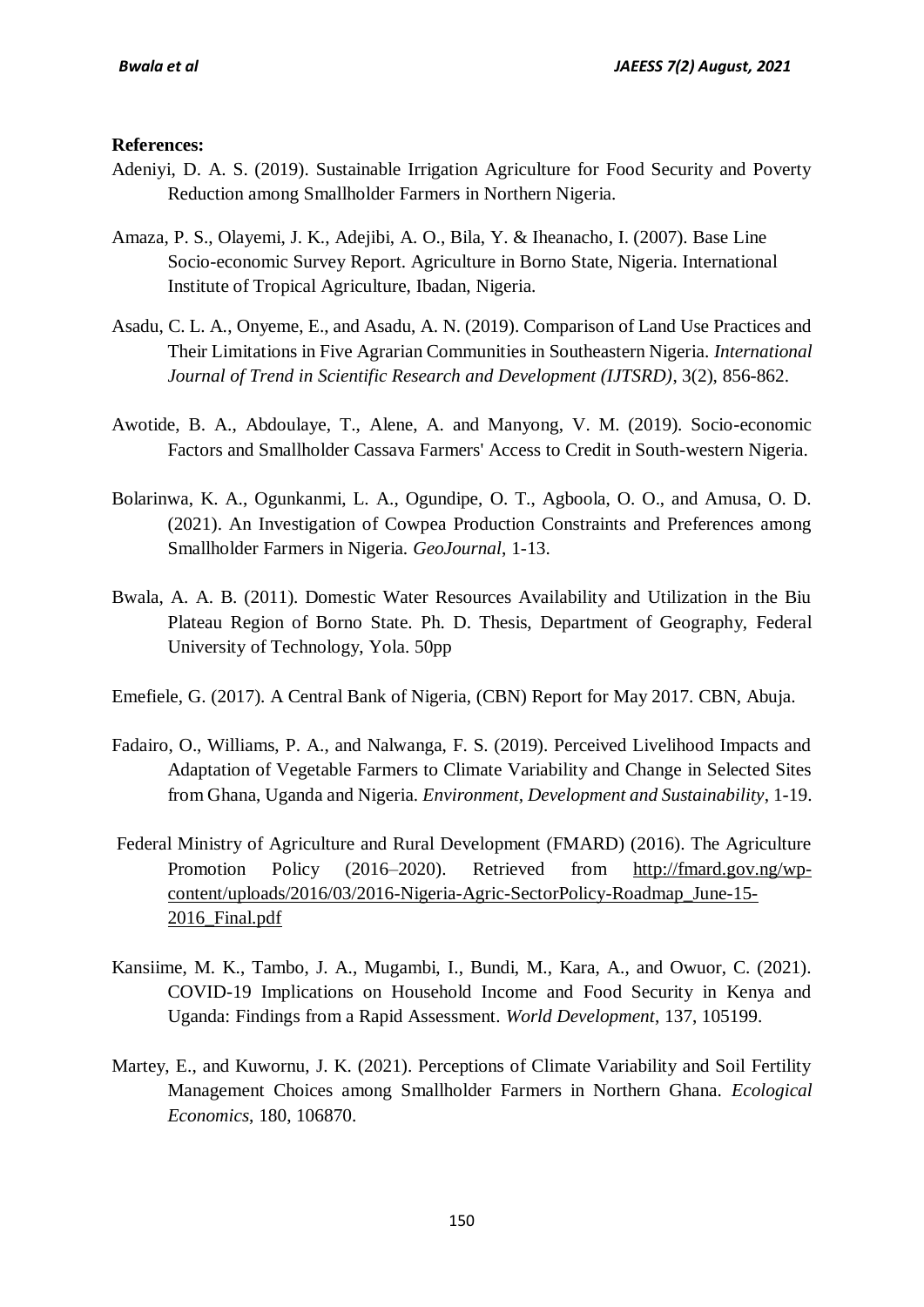#### **References:**

- Adeniyi, D. A. S. (2019). Sustainable Irrigation Agriculture for Food Security and Poverty Reduction among Smallholder Farmers in Northern Nigeria.
- Amaza, P. S., Olayemi, J. K., Adejibi, A. O., Bila, Y. & Iheanacho, I. (2007). Base Line Socio-economic Survey Report. Agriculture in Borno State, Nigeria. International Institute of Tropical Agriculture, Ibadan, Nigeria.
- Asadu, C. L. A., Onyeme, E., and Asadu, A. N. (2019). Comparison of Land Use Practices and Their Limitations in Five Agrarian Communities in Southeastern Nigeria. *International Journal of Trend in Scientific Research and Development (IJTSRD)*, 3(2), 856-862.
- Awotide, B. A., Abdoulaye, T., Alene, A. and Manyong, V. M. (2019). Socio-economic Factors and Smallholder Cassava Farmers' Access to Credit in South-western Nigeria.
- Bolarinwa, K. A., Ogunkanmi, L. A., Ogundipe, O. T., Agboola, O. O., and Amusa, O. D. (2021). An Investigation of Cowpea Production Constraints and Preferences among Smallholder Farmers in Nigeria. *GeoJournal*, 1-13.
- Bwala, A. A. B. (2011). Domestic Water Resources Availability and Utilization in the Biu Plateau Region of Borno State. Ph. D. Thesis, Department of Geography, Federal University of Technology, Yola. 50pp
- Emefiele, G. (2017). A Central Bank of Nigeria, (CBN) Report for May 2017. CBN, Abuja.
- Fadairo, O., Williams, P. A., and Nalwanga, F. S. (2019). Perceived Livelihood Impacts and Adaptation of Vegetable Farmers to Climate Variability and Change in Selected Sites from Ghana, Uganda and Nigeria. *Environment, Development and Sustainability*, 1-19.
- Federal Ministry of Agriculture and Rural Development (FMARD) (2016). The Agriculture Promotion Policy (2016–2020). Retrieved from [http://fmard.gov.ng/wp](http://fmard.gov.ng/wp-content/uploads/2016/03/2016-Nigeria-Agric-SectorPolicy-Roadmap_June-15-2016_Final.pdf)[content/uploads/2016/03/2016-Nigeria-Agric-SectorPolicy-Roadmap\\_June-15-](http://fmard.gov.ng/wp-content/uploads/2016/03/2016-Nigeria-Agric-SectorPolicy-Roadmap_June-15-2016_Final.pdf) 2016 Final.pdf
- Kansiime, M. K., Tambo, J. A., Mugambi, I., Bundi, M., Kara, A., and Owuor, C. (2021). COVID-19 Implications on Household Income and Food Security in Kenya and Uganda: Findings from a Rapid Assessment. *World Development*, 137, 105199.
- Martey, E., and Kuwornu, J. K. (2021). Perceptions of Climate Variability and Soil Fertility Management Choices among Smallholder Farmers in Northern Ghana. *Ecological Economics*, 180, 106870.